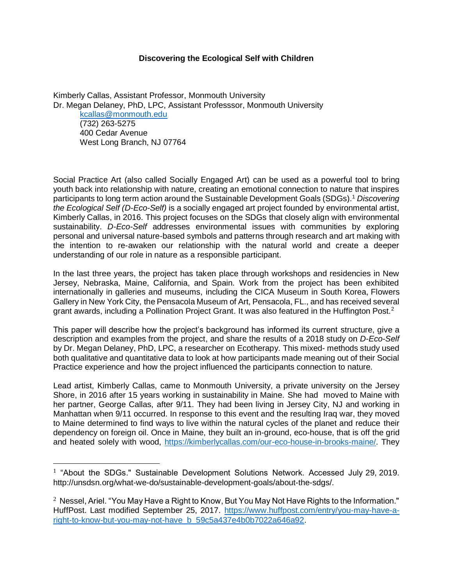### **Discovering the Ecological Self with Children**

Kimberly Callas, Assistant Professor, Monmouth University Dr. Megan Delaney, PhD, LPC, Assistant Professsor, Monmouth University [kcallas@monmouth.edu](mailto:kcallas@monmouth.edu) (732) 263-5275 400 Cedar Avenue West Long Branch, NJ 07764

Social Practice Art (also called Socially Engaged Art) can be used as a powerful tool to bring youth back into relationship with nature, creating an emotional connection to nature that inspires participants to long term action around the Sustainable Development Goals (SDGs).<sup>1</sup> *Discovering the Ecological Self (D-Eco-Self)* is a socially engaged art project founded by environmental artist, Kimberly Callas, in 2016. This project focuses on the SDGs that closely align with environmental sustainability. *D-Eco-Self* addresses environmental issues with communities by exploring personal and universal nature-based symbols and patterns through research and art making with the intention to re-awaken our relationship with the natural world and create a deeper understanding of our role in nature as a responsible participant.

In the last three years, the project has taken place through workshops and residencies in New Jersey, Nebraska, Maine, California, and Spain. Work from the project has been exhibited internationally in galleries and museums, including the CICA Museum in South Korea, Flowers Gallery in New York City, the Pensacola Museum of Art, Pensacola, FL., and has received several grant awards, including a Pollination Project Grant. It was also featured in the Huffington Post.<sup>2</sup>

This paper will describe how the project's background has informed its current structure, give a description and examples from the project, and share the results of a 2018 study on *D-Eco-Self* by Dr. Megan Delaney, PhD, LPC, a researcher on Ecotherapy. This mixed- methods study used both qualitative and quantitative data to look at how participants made meaning out of their Social Practice experience and how the project influenced the participants connection to nature.

Lead artist, Kimberly Callas, came to Monmouth University, a private university on the Jersey Shore, in 2016 after 15 years working in sustainability in Maine. She had moved to Maine with her partner, George Callas, after 9/11. They had been living in Jersey City, NJ and working in Manhattan when 9/11 occurred. In response to this event and the resulting Iraq war, they moved to Maine determined to find ways to live within the natural cycles of the planet and reduce their dependency on foreign oil. Once in Maine, they built an in-ground, eco-house, that is off the grid and heated solely with wood, [https://kimberlycallas.com/our-eco-house-in-brooks-maine/.](https://kimberlycallas.com/our-eco-house-in-brooks-maine/) They

 $1$  "About the SDGs." Sustainable Development Solutions Network. Accessed July 29, 2019. http://unsdsn.org/what-we-do/sustainable-development-goals/about-the-sdgs/.

 $^2$  Nessel, Ariel. "You May Have a Right to Know, But You May Not Have Rights to the Information." HuffPost. Last modified September 25, 2017. [https://www.huffpost.com/entry/you-may-have-a](https://www.huffpost.com/entry/you-may-have-a-right-to-know-but-you-may-not-have_b_59c5a437e4b0b7022a646a92)[right-to-know-but-you-may-not-have\\_b\\_59c5a437e4b0b7022a646a92.](https://www.huffpost.com/entry/you-may-have-a-right-to-know-but-you-may-not-have_b_59c5a437e4b0b7022a646a92)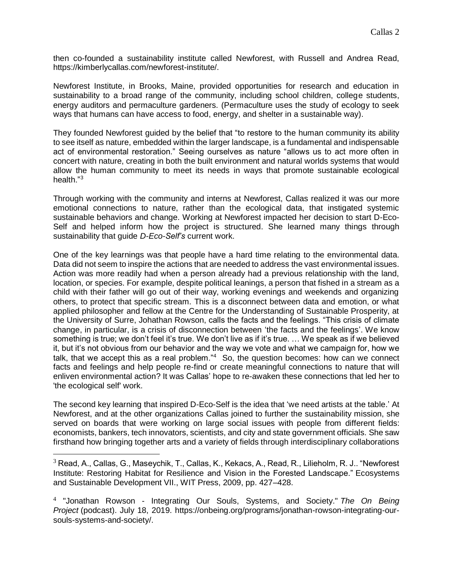then co-founded a sustainability institute called Newforest, with Russell and Andrea Read, https://kimberlycallas.com/newforest-institute/.

Newforest Institute, in Brooks, Maine, provided opportunities for research and education in sustainability to a broad range of the community, including school children, college students, energy auditors and permaculture gardeners. (Permaculture uses the study of ecology to seek ways that humans can have access to food, energy, and shelter in a sustainable way).

They founded Newforest guided by the belief that "to restore to the human community its ability to see itself as nature, embedded within the larger landscape, is a fundamental and indispensable act of environmental restoration." Seeing ourselves as nature "allows us to act more often in concert with nature, creating in both the built environment and natural worlds systems that would allow the human community to meet its needs in ways that promote sustainable ecological health."<sup>3</sup>

Through working with the community and interns at Newforest, Callas realized it was our more emotional connections to nature, rather than the ecological data, that instigated systemic sustainable behaviors and change. Working at Newforest impacted her decision to start D-Eco-Self and helped inform how the project is structured. She learned many things through sustainability that guide *D-Eco-Self's* current work.

One of the key learnings was that people have a hard time relating to the environmental data. Data did not seem to inspire the actions that are needed to address the vast environmental issues. Action was more readily had when a person already had a previous relationship with the land, location, or species. For example, despite political leanings, a person that fished in a stream as a child with their father will go out of their way, working evenings and weekends and organizing others, to protect that specific stream. This is a disconnect between data and emotion, or what applied philosopher and fellow at the Centre for the Understanding of Sustainable Prosperity, at the University of Surre, Johathan Rowson, calls the facts and the feelings. "This crisis of climate change, in particular, is a crisis of disconnection between 'the facts and the feelings'. We know something is true; we don't feel it's true. We don't live as if it's true. ... We speak as if we believed it, but it's not obvious from our behavior and the way we vote and what we campaign for, how we talk, that we accept this as a real problem."<sup>4</sup> So, the question becomes: how can we connect facts and feelings and help people re-find or create meaningful connections to nature that will enliven environmental action? It was Callas' hope to re-awaken these connections that led her to 'the ecological self' work.

The second key learning that inspired D-Eco-Self is the idea that 'we need artists at the table.' At Newforest, and at the other organizations Callas joined to further the sustainability mission, she served on boards that were working on large social issues with people from different fields: economists, bankers, tech innovators, scientists, and city and state government officials. She saw firsthand how bringing together arts and a variety of fields through interdisciplinary collaborations

<sup>3</sup> Read, A., Callas, G., Maseychik, T., Callas, K., Kekacs, A., Read, R., Lilieholm, R. J.. "Newforest Institute: Restoring Habitat for Resilience and Vision in the Forested Landscape." Ecosystems and Sustainable Development VII., WIT Press, 2009, pp. 427–428.

<sup>4</sup> "Jonathan Rowson - Integrating Our Souls, Systems, and Society." *The On Being Project* (podcast). July 18, 2019. https://onbeing.org/programs/jonathan-rowson-integrating-oursouls-systems-and-society/.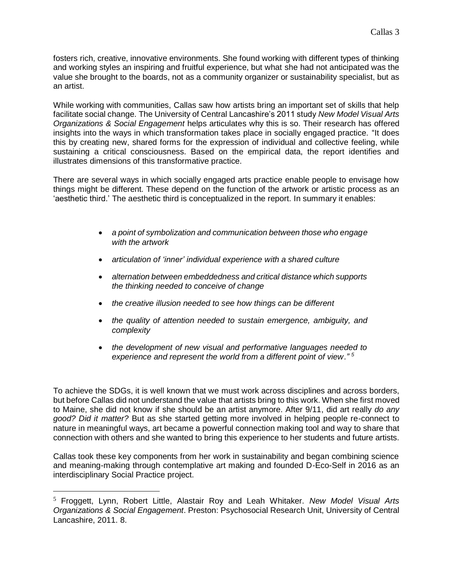fosters rich, creative, innovative environments. She found working with different types of thinking and working styles an inspiring and fruitful experience, but what she had not anticipated was the value she brought to the boards, not as a community organizer or sustainability specialist, but as an artist.

While working with communities, Callas saw how artists bring an important set of skills that help facilitate social change. The University of Central Lancashire's 2011 study *New Model Visual Arts Organizations & Social Engagement* helps articulates why this is so. Their research has offered insights into the ways in which transformation takes place in socially engaged practice. "It does this by creating new, shared forms for the expression of individual and collective feeling, while sustaining a critical consciousness. Based on the empirical data, the report identifies and illustrates dimensions of this transformative practice.

There are several ways in which socially engaged arts practice enable people to envisage how things might be different. These depend on the function of the artwork or artistic process as an 'aesthetic third.' The aesthetic third is conceptualized in the report. In summary it enables:

- *a point of symbolization and communication between those who engage with the artwork*
- *articulation of 'inner' individual experience with a shared culture*
- *alternation between embeddedness and critical distance which supports the thinking needed to conceive of change*
- *the creative illusion needed to see how things can be different*
- *the quality of attention needed to sustain emergence, ambiguity, and complexity*
- *the development of new visual and performative languages needed to experience and represent the world from a different point of view." <sup>5</sup>*

To achieve the SDGs, it is well known that we must work across disciplines and across borders, but before Callas did not understand the value that artists bring to this work. When she first moved to Maine, she did not know if she should be an artist anymore. After 9/11, did art really *do any good? Did it matter?* But as she started getting more involved in helping people re-connect to nature in meaningful ways, art became a powerful connection making tool and way to share that connection with others and she wanted to bring this experience to her students and future artists.

Callas took these key components from her work in sustainability and began combining science and meaning-making through contemplative art making and founded D-Eco-Self in 2016 as an interdisciplinary Social Practice project.

<sup>5</sup> Froggett, Lynn, Robert Little, Alastair Roy and Leah Whitaker. *New Model Visual Arts Organizations & Social Engagement*. Preston: Psychosocial Research Unit, University of Central Lancashire, 2011. 8.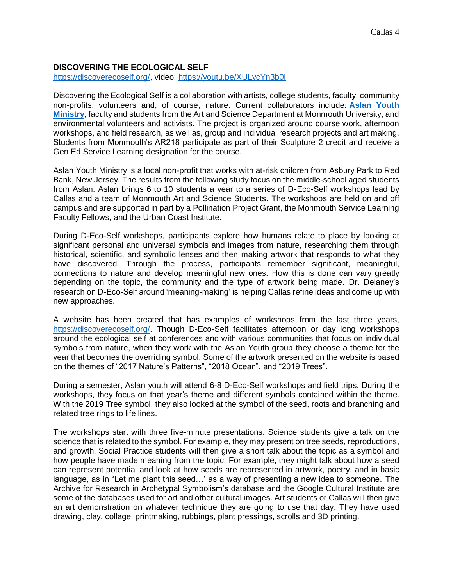## **DISCOVERING THE ECOLOGICAL SELF**

[https://discoverecoself.org/,](https://discoverecoself.org/) video:<https://youtu.be/XULycYn3b0I>

Discovering the Ecological Self is a collaboration with artists, college students, faculty, community non-profits, volunteers and, of course, nature. Current collaborators include: **[Aslan Youth](https://aslanyouth.org/)  [Ministry](https://aslanyouth.org/)**, faculty and students from the Art and Science Department at Monmouth University, and environmental volunteers and activists. The project is organized around course work, afternoon workshops, and field research, as well as, group and individual research projects and art making. Students from Monmouth's AR218 participate as part of their Sculpture 2 credit and receive a Gen Ed Service Learning designation for the course.

Aslan Youth Ministry is a local non-profit that works with at-risk children from Asbury Park to Red Bank, New Jersey. The results from the following study focus on the middle-school aged students from Aslan. Aslan brings 6 to 10 students a year to a series of D-Eco-Self workshops lead by Callas and a team of Monmouth Art and Science Students. The workshops are held on and off campus and are supported in part by a Pollination Project Grant, the Monmouth Service Learning Faculty Fellows, and the Urban Coast Institute.

During D-Eco-Self workshops, participants explore how humans relate to place by looking at significant personal and universal symbols and images from nature, researching them through historical, scientific, and symbolic lenses and then making artwork that responds to what they have discovered. Through the process, participants remember significant, meaningful, connections to nature and develop meaningful new ones. How this is done can vary greatly depending on the topic, the community and the type of artwork being made. Dr. Delaney's research on D-Eco-Self around 'meaning-making' is helping Callas refine ideas and come up with new approaches.

A website has been created that has examples of workshops from the last three years, [https://discoverecoself.org/.](https://discoverecoself.org/) Though D-Eco-Self facilitates afternoon or day long workshops around the ecological self at conferences and with various communities that focus on individual symbols from nature, when they work with the Aslan Youth group they choose a theme for the year that becomes the overriding symbol. Some of the artwork presented on the website is based on the themes of "2017 Nature's Patterns", "2018 Ocean", and "2019 Trees".

During a semester, Aslan youth will attend 6-8 D-Eco-Self workshops and field trips. During the workshops, they focus on that year's theme and different symbols contained within the theme. With the 2019 Tree symbol, they also looked at the symbol of the seed, roots and branching and related tree rings to life lines.

The workshops start with three five-minute presentations. Science students give a talk on the science that is related to the symbol. For example, they may present on tree seeds, reproductions, and growth. Social Practice students will then give a short talk about the topic as a symbol and how people have made meaning from the topic. For example, they might talk about how a seed can represent potential and look at how seeds are represented in artwork, poetry, and in basic language, as in "Let me plant this seed…' as a way of presenting a new idea to someone. The Archive for Research in Archetypal Symbolism's database and the Google Cultural Institute are some of the databases used for art and other cultural images. Art students or Callas will then give an art demonstration on whatever technique they are going to use that day. They have used drawing, clay, collage, printmaking, rubbings, plant pressings, scrolls and 3D printing.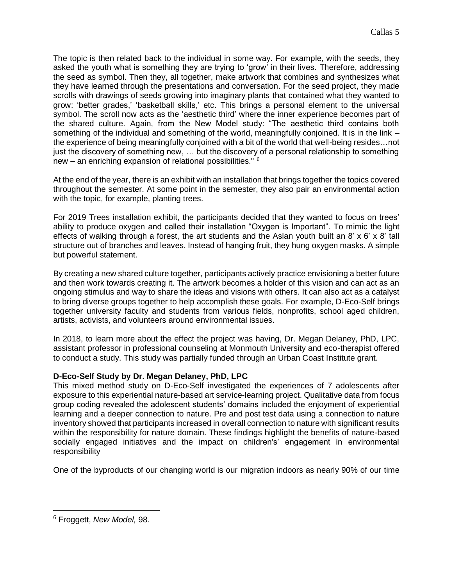The topic is then related back to the individual in some way. For example, with the seeds, they asked the youth what is something they are trying to 'grow' in their lives. Therefore, addressing the seed as symbol. Then they, all together, make artwork that combines and synthesizes what they have learned through the presentations and conversation. For the seed project, they made scrolls with drawings of seeds growing into imaginary plants that contained what they wanted to grow: 'better grades,' 'basketball skills,' etc. This brings a personal element to the universal symbol. The scroll now acts as the 'aesthetic third' where the inner experience becomes part of the shared culture. Again, from the New Model study: "The aesthetic third contains both something of the individual and something of the world, meaningfully conjoined. It is in the link – the experience of being meaningfully conjoined with a bit of the world that well-being resides…not just the discovery of something new, ... but the discovery of a personal relationship to something new – an enriching expansion of relational possibilities." <sup>6</sup>

At the end of the year, there is an exhibit with an installation that brings together the topics covered throughout the semester. At some point in the semester, they also pair an environmental action with the topic, for example, planting trees.

For 2019 Trees installation exhibit, the participants decided that they wanted to focus on trees' ability to produce oxygen and called their installation "Oxygen is Important". To mimic the light effects of walking through a forest, the art students and the Aslan youth built an  $8' \times 6' \times 8'$  tall structure out of branches and leaves. Instead of hanging fruit, they hung oxygen masks. A simple but powerful statement.

By creating a new shared culture together, participants actively practice envisioning a better future and then work towards creating it. The artwork becomes a holder of this vision and can act as an ongoing stimulus and way to share the ideas and visions with others. It can also act as a catalyst to bring diverse groups together to help accomplish these goals. For example, D-Eco-Self brings together university faculty and students from various fields, nonprofits, school aged children, artists, activists, and volunteers around environmental issues.

In 2018, to learn more about the effect the project was having, Dr. Megan Delaney, PhD, LPC, assistant professor in professional counseling at Monmouth University and eco-therapist offered to conduct a study. This study was partially funded through an Urban Coast Institute grant.

# **D-Eco-Self Study by Dr. Megan Delaney, PhD, LPC**

This mixed method study on D-Eco-Self investigated the experiences of 7 adolescents after exposure to this experiential nature-based art service-learning project. Qualitative data from focus group coding revealed the adolescent students' domains included the enjoyment of experiential learning and a deeper connection to nature. Pre and post test data using a connection to nature inventory showed that participants increased in overall connection to nature with significant results within the responsibility for nature domain. These findings highlight the benefits of nature-based socially engaged initiatives and the impact on children's' engagement in environmental responsibility

One of the byproducts of our changing world is our migration indoors as nearly 90% of our time

<sup>6</sup> Froggett, *New Model,* 98.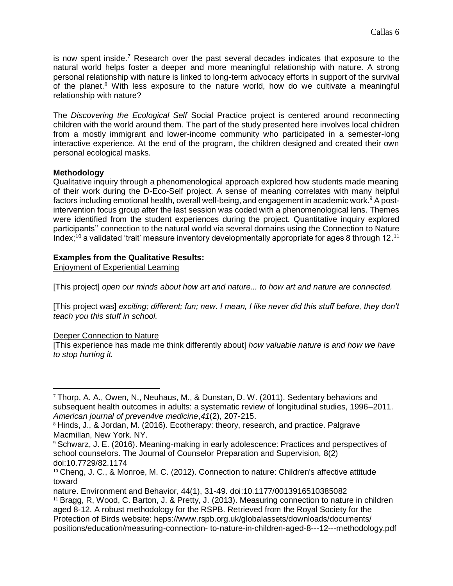is now spent inside.<sup>7</sup> Research over the past several decades indicates that exposure to the natural world helps foster a deeper and more meaningful relationship with nature. A strong personal relationship with nature is linked to long-term advocacy efforts in support of the survival of the planet.<sup>8</sup> With less exposure to the nature world, how do we cultivate a meaningful relationship with nature?

The *Discovering the Ecological Self* Social Practice project is centered around reconnecting children with the world around them. The part of the study presented here involves local children from a mostly immigrant and lower-income community who participated in a semester-long interactive experience. At the end of the program, the children designed and created their own personal ecological masks.

# **Methodology**

Qualitative inquiry through a phenomenological approach explored how students made meaning of their work during the D-Eco-Self project. A sense of meaning correlates with many helpful factors including emotional health, overall well-being, and engagement in academic work.<sup>9</sup> A postintervention focus group after the last session was coded with a phenomenological lens. Themes were identified from the student experiences during the project. Quantitative inquiry explored participants'' connection to the natural world via several domains using the Connection to Nature Index;<sup>10</sup> a validated 'trait' measure inventory developmentally appropriate for ages 8 through 12.<sup>11</sup>

## **Examples from the Qualitative Results:**

Enjoyment of Experiential Learning

[This project] *open our minds about how art and nature... to how art and nature are connected.*

[This project was] *exciting; different; fun; new. I mean, I like never did this stuff before, they don't teach you this stuff in school.*

#### Deeper Connection to Nature

 $\overline{a}$ 

[This experience has made me think differently about] *how valuable nature is and how we have to stop hurting it.*

 $7$  Thorp, A. A., Owen, N., Neuhaus, M., & Dunstan, D. W. (2011). Sedentary behaviors and subsequent health outcomes in adults: a systematic review of longitudinal studies, 1996–2011. *American journal of preven4ve medicine*,*41*(2), 207-215.

<sup>8</sup> Hinds, J., & Jordan, M. (2016). Ecotherapy: theory, research, and practice. Palgrave Macmillan, New York. NY.

<sup>9</sup> Schwarz, J. E. (2016). Meaning-making in early adolescence: Practices and perspectives of school counselors. The Journal of Counselor Preparation and Supervision, 8(2) doi:10.7729/82.1174

<sup>&</sup>lt;sup>10</sup> Cheng, J. C., & Monroe, M. C. (2012). Connection to nature: Children's affective attitude toward

nature. Environment and Behavior, 44(1), 31-49. doi:10.1177/0013916510385082

<sup>&</sup>lt;sup>11</sup> Bragg, R, Wood, C. Barton, J. & Pretty, J. (2013). Measuring connection to nature in children aged 8-12. A robust methodology for the RSPB. Retrieved from the Royal Society for the Protection of Birds website: heps://www.rspb.org.uk/globalassets/downloads/documents/ positions/education/measuring-connection- to-nature-in-children-aged-8---12---methodology.pdf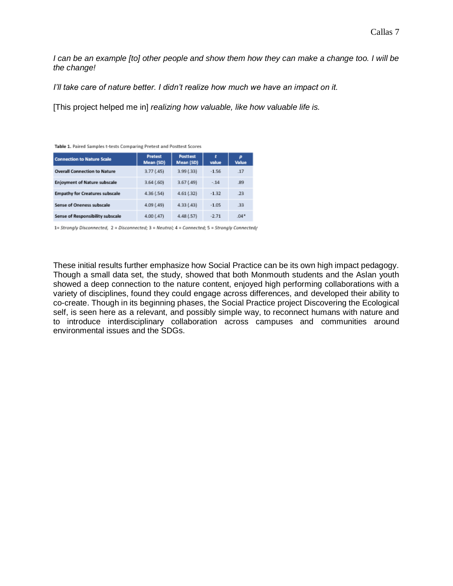*I* can be an example [to] other people and show them how they can make a change too. I will be *the change!*

*I'll take care of nature better. I didn't realize how much we have an impact on it.*

[This project helped me in] *realizing how valuable, like how valuable life is.*

| <b>Connection to Nature Scale</b>     | <b>Pretest</b><br>Mean (SD) | <b>Posttest</b><br>Mean (SD) | ŧ<br>value | p<br>Value |
|---------------------------------------|-----------------------------|------------------------------|------------|------------|
| <b>Overall Connection to Nature</b>   | 3.77(.45)                   | 3.99(33)                     | $-1.56$    | .17        |
| <b>Enjoyment of Nature subscale</b>   | 3.64(.60)                   | 3.67(0.49)                   | $-14$      | 89         |
| <b>Empathy for Creatures subscale</b> | 4.36(.54)                   | 4.61(.32)                    | $-1.32$    | .23        |
| <b>Sense of Oneness subscale</b>      | 4.09(.49)                   | 4.33(43)                     | $-1.05$    | 33         |
| Sense of Responsibility subscale      | 4.00(0.47)                  | 4.48(.57)                    | $-2.71$    | $.04*$     |

1= Strongly Disconnected, 2 = Disconnected; 3 = Neutral; 4 = Connected; 5 = Strongly Connected/

These initial results further emphasize how Social Practice can be its own high impact pedagogy. Though a small data set, the study, showed that both Monmouth students and the Aslan youth showed a deep connection to the nature content, enjoyed high performing collaborations with a variety of disciplines, found they could engage across differences, and developed their ability to co-create. Though in its beginning phases, the Social Practice project Discovering the Ecological self, is seen here as a relevant, and possibly simple way, to reconnect humans with nature and to introduce interdisciplinary collaboration across campuses and communities around environmental issues and the SDGs.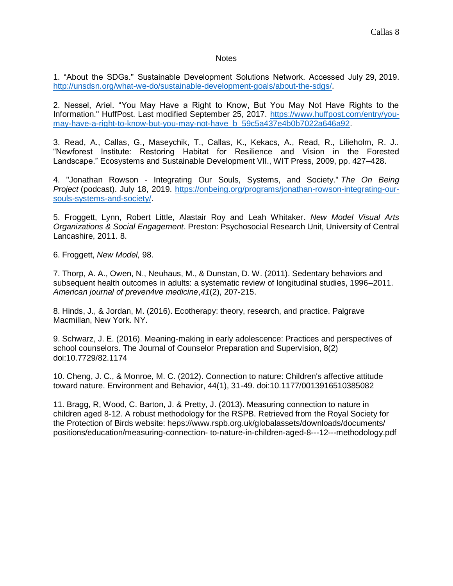#### **Notes**

1. "About the SDGs." Sustainable Development Solutions Network. Accessed July 29, 2019. [http://unsdsn.org/what-we-do/sustainable-development-goals/about-the-sdgs/.](http://unsdsn.org/what-we-do/sustainable-development-goals/about-the-sdgs/)

2. Nessel, Ariel. "You May Have a Right to Know, But You May Not Have Rights to the Information." HuffPost. Last modified September 25, 2017. [https://www.huffpost.com/entry/you](https://www.huffpost.com/entry/you-may-have-a-right-to-know-but-you-may-not-have_b_59c5a437e4b0b7022a646a92)[may-have-a-right-to-know-but-you-may-not-have\\_b\\_59c5a437e4b0b7022a646a92.](https://www.huffpost.com/entry/you-may-have-a-right-to-know-but-you-may-not-have_b_59c5a437e4b0b7022a646a92)

3. Read, A., Callas, G., Maseychik, T., Callas, K., Kekacs, A., Read, R., Lilieholm, R. J.. "Newforest Institute: Restoring Habitat for Resilience and Vision in the Forested Landscape." Ecosystems and Sustainable Development VII., WIT Press, 2009, pp. 427–428.

4. "Jonathan Rowson - Integrating Our Souls, Systems, and Society." *The On Being Project* (podcast). July 18, 2019. [https://onbeing.org/programs/jonathan-rowson-integrating-our](https://onbeing.org/programs/jonathan-rowson-integrating-our-souls-systems-and-society/)[souls-systems-and-society/.](https://onbeing.org/programs/jonathan-rowson-integrating-our-souls-systems-and-society/)

5. Froggett, Lynn, Robert Little, Alastair Roy and Leah Whitaker. *New Model Visual Arts Organizations & Social Engagement*. Preston: Psychosocial Research Unit, University of Central Lancashire, 2011. 8.

6. Froggett, *New Model,* 98.

7. Thorp, A. A., Owen, N., Neuhaus, M., & Dunstan, D. W. (2011). Sedentary behaviors and subsequent health outcomes in adults: a systematic review of longitudinal studies, 1996–2011. *American journal of preven4ve medicine*,*41*(2), 207-215.

8. Hinds, J., & Jordan, M. (2016). Ecotherapy: theory, research, and practice. Palgrave Macmillan, New York. NY.

9. Schwarz, J. E. (2016). Meaning-making in early adolescence: Practices and perspectives of school counselors. The Journal of Counselor Preparation and Supervision, 8(2) doi:10.7729/82.1174

10. Cheng, J. C., & Monroe, M. C. (2012). Connection to nature: Children's affective attitude toward nature. Environment and Behavior, 44(1), 31-49. doi:10.1177/0013916510385082

11. Bragg, R, Wood, C. Barton, J. & Pretty, J. (2013). Measuring connection to nature in children aged 8-12. A robust methodology for the RSPB. Retrieved from the Royal Society for the Protection of Birds website: heps://www.rspb.org.uk/globalassets/downloads/documents/ positions/education/measuring-connection- to-nature-in-children-aged-8---12---methodology.pdf